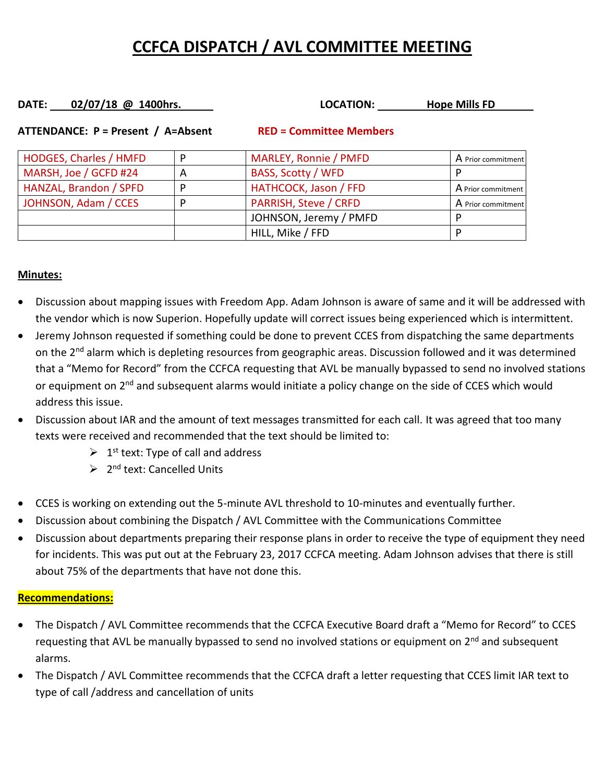## **CCFCA DISPATCH / AVL COMMITTEE MEETING**

# **DATE:** 02/07/18 @ 1400hrs. **LOCATION:** Hope Mills FD

| HODGES, Charles / HMFD |   | MARLEY, Ronnie / PMFD        | A Prior commitment |
|------------------------|---|------------------------------|--------------------|
| MARSH, Joe / GCFD #24  | А | <b>BASS, Scotty / WFD</b>    |                    |
| HANZAL, Brandon / SPFD |   | HATHCOCK, Jason / FFD        | A Prior commitment |
| JOHNSON, Adam / CCES   |   | <b>PARRISH, Steve / CRFD</b> | A Prior commitment |
|                        |   | JOHNSON, Jeremy / PMFD       |                    |
|                        |   | HILL, Mike / FFD             |                    |

#### **ATTENDANCE: P = Present / A=Absent RED = Committee Members**

### **Minutes:**

- Discussion about mapping issues with Freedom App. Adam Johnson is aware of same and it will be addressed with the vendor which is now Superion. Hopefully update will correct issues being experienced which is intermittent.
- Jeremy Johnson requested if something could be done to prevent CCES from dispatching the same departments on the 2<sup>nd</sup> alarm which is depleting resources from geographic areas. Discussion followed and it was determined that a "Memo for Record" from the CCFCA requesting that AVL be manually bypassed to send no involved stations or equipment on 2<sup>nd</sup> and subsequent alarms would initiate a policy change on the side of CCES which would address this issue.
- Discussion about IAR and the amount of text messages transmitted for each call. It was agreed that too many texts were received and recommended that the text should be limited to:
	- $\geq 1$ <sup>st</sup> text: Type of call and address
	- ➢ 2 nd text: Cancelled Units
- CCES is working on extending out the 5-minute AVL threshold to 10-minutes and eventually further.
- Discussion about combining the Dispatch / AVL Committee with the Communications Committee
- Discussion about departments preparing their response plans in order to receive the type of equipment they need for incidents. This was put out at the February 23, 2017 CCFCA meeting. Adam Johnson advises that there is still about 75% of the departments that have not done this.

#### **Recommendations:**

- The Dispatch / AVL Committee recommends that the CCFCA Executive Board draft a "Memo for Record" to CCES requesting that AVL be manually bypassed to send no involved stations or equipment on 2<sup>nd</sup> and subsequent alarms.
- The Dispatch / AVL Committee recommends that the CCFCA draft a letter requesting that CCES limit IAR text to type of call /address and cancellation of units